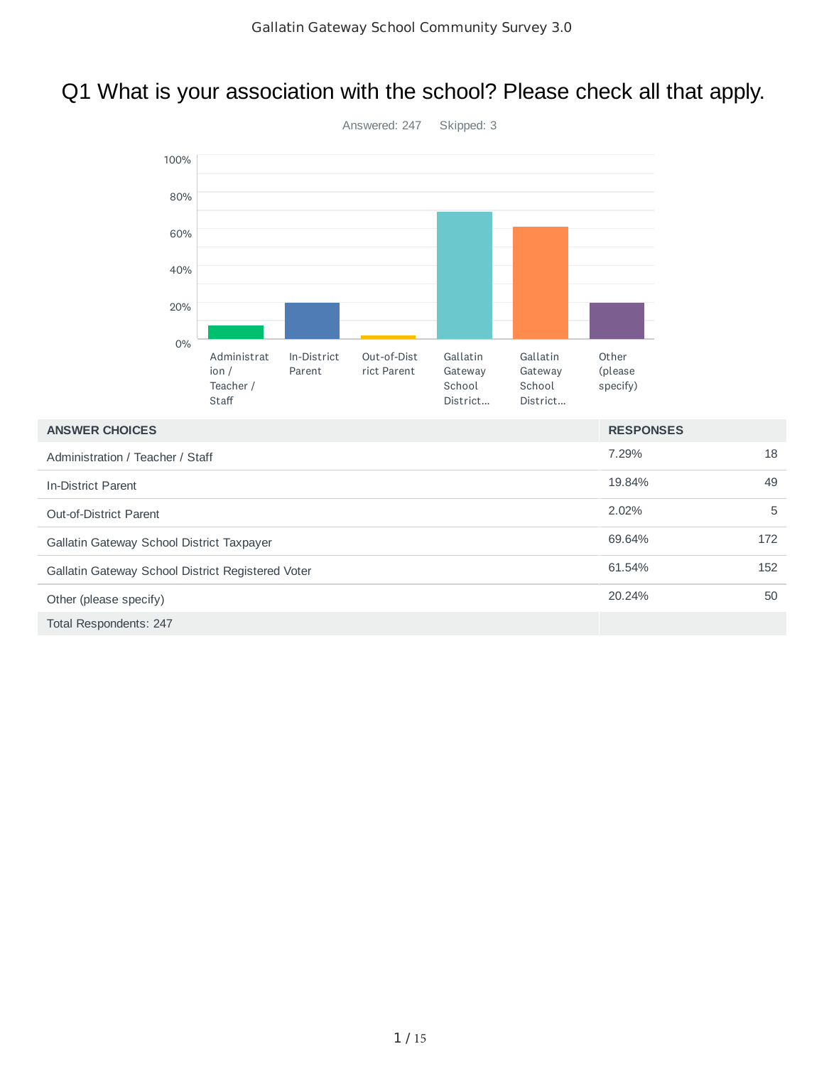# Q1 What is your association with the school? Please check all that apply.



| <b>ANSWER CHOICES</b>                             | <b>RESPONSES</b> |     |
|---------------------------------------------------|------------------|-----|
| Administration / Teacher / Staff                  | 7.29%            | 18  |
| In-District Parent                                | 19.84%           | 49  |
| <b>Out-of-District Parent</b>                     | 2.02%            | 5   |
| Gallatin Gateway School District Taxpayer         | 69.64%           | 172 |
| Gallatin Gateway School District Registered Voter | 61.54%           | 152 |
| Other (please specify)                            | 20.24%           | 50  |
| <b>Total Respondents: 247</b>                     |                  |     |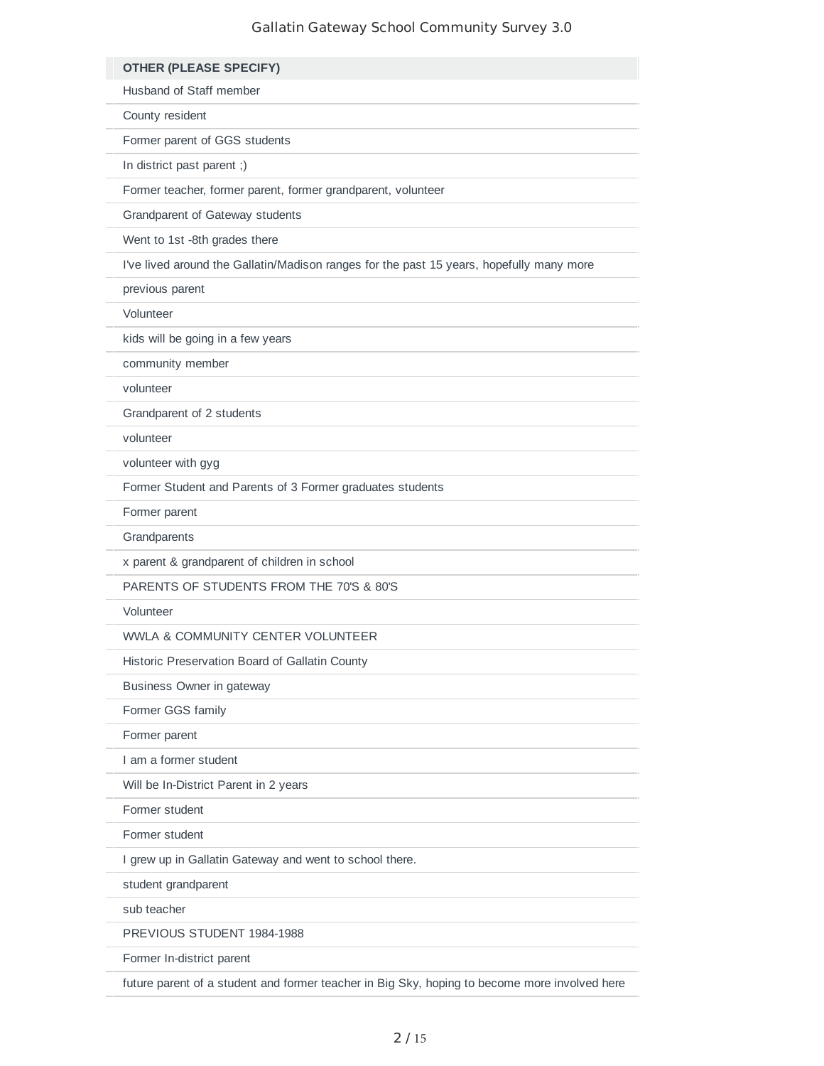| <b>OTHER (PLEASE SPECIFY)</b>                                                                 |
|-----------------------------------------------------------------------------------------------|
| Husband of Staff member                                                                       |
| County resident                                                                               |
| Former parent of GGS students                                                                 |
| In district past parent ;)                                                                    |
| Former teacher, former parent, former grandparent, volunteer                                  |
| Grandparent of Gateway students                                                               |
| Went to 1st -8th grades there                                                                 |
| I've lived around the Gallatin/Madison ranges for the past 15 years, hopefully many more      |
| previous parent                                                                               |
| Volunteer                                                                                     |
| kids will be going in a few years                                                             |
| community member                                                                              |
| volunteer                                                                                     |
| Grandparent of 2 students                                                                     |
| volunteer                                                                                     |
| volunteer with gyg                                                                            |
| Former Student and Parents of 3 Former graduates students                                     |
| Former parent                                                                                 |
| Grandparents                                                                                  |
| x parent & grandparent of children in school                                                  |
| PARENTS OF STUDENTS FROM THE 70'S & 80'S                                                      |
| Volunteer                                                                                     |
| WWLA & COMMUNITY CENTER VOLUNTEER                                                             |
| Historic Preservation Board of Gallatin County                                                |
| Business Owner in gateway                                                                     |
| Former GGS family                                                                             |
| Former parent                                                                                 |
| I am a former student                                                                         |
| Will be In-District Parent in 2 years                                                         |
| Former student                                                                                |
| Former student                                                                                |
| I grew up in Gallatin Gateway and went to school there.                                       |
| student grandparent                                                                           |
| sub teacher                                                                                   |
| PREVIOUS STUDENT 1984-1988                                                                    |
| Former In-district parent                                                                     |
| future parent of a student and former teacher in Big Sky, hoping to become more involved here |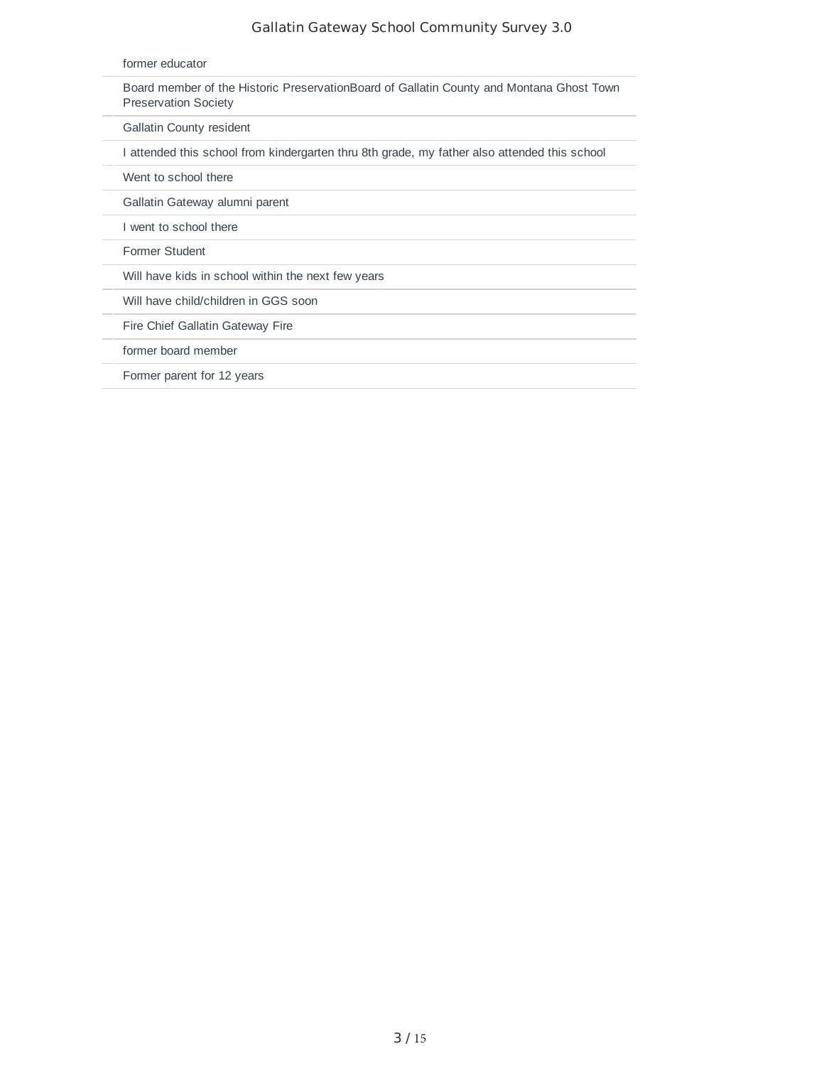| former educator                                                                                                         |
|-------------------------------------------------------------------------------------------------------------------------|
| Board member of the Historic PreservationBoard of Gallatin County and Montana Ghost Town<br><b>Preservation Society</b> |
| <b>Gallatin County resident</b>                                                                                         |
| I attended this school from kindergarten thru 8th grade, my father also attended this school                            |
| Went to school there                                                                                                    |
| Gallatin Gateway alumni parent                                                                                          |
| I went to school there                                                                                                  |
| Former Student                                                                                                          |
| Will have kids in school within the next few years                                                                      |
| Will have child/children in GGS soon                                                                                    |
| Fire Chief Gallatin Gateway Fire                                                                                        |
| former board member                                                                                                     |
| Former parent for 12 years                                                                                              |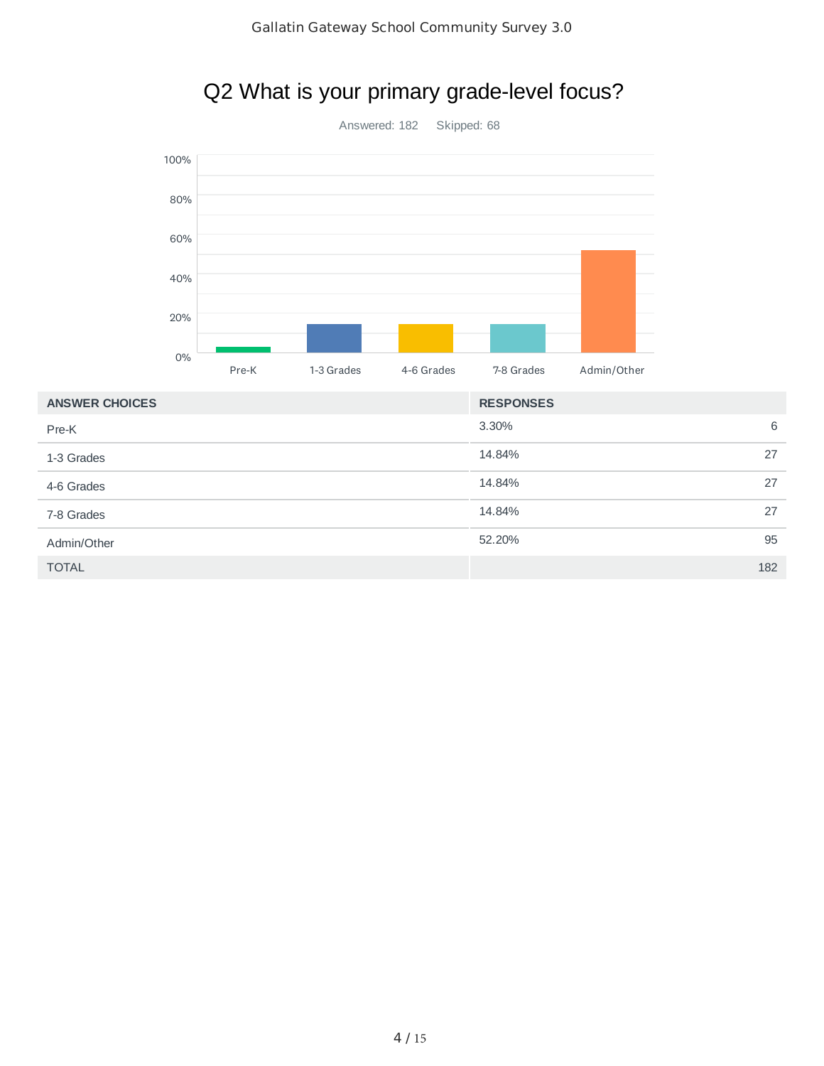# Q2 What is your primary grade-level focus?

Answered: 182 Skipped: 68



| <b>ANSWER CHUICES</b> | <b>RESPUNSES</b> |     |
|-----------------------|------------------|-----|
| Pre-K                 | 3.30%            | 6   |
| 1-3 Grades            | 14.84%           | 27  |
| 4-6 Grades            | 14.84%           | 27  |
| 7-8 Grades            | 14.84%           | 27  |
| Admin/Other           | 52.20%           | 95  |
| <b>TOTAL</b>          |                  | 182 |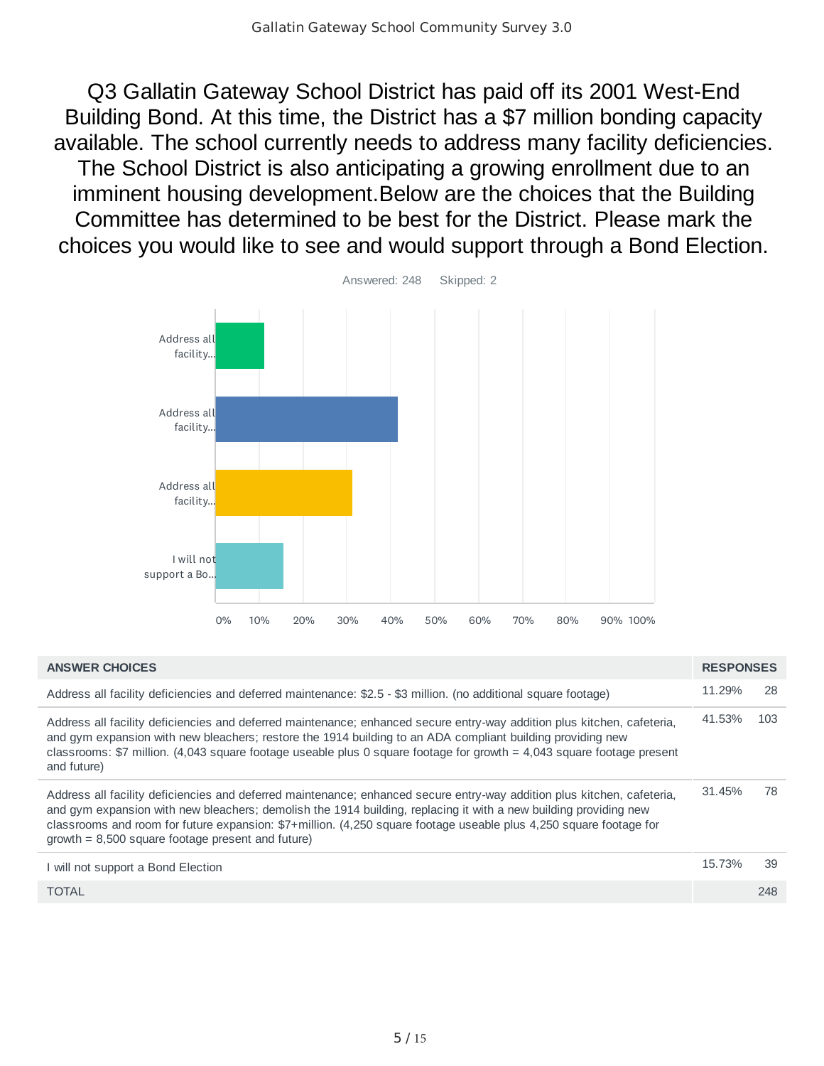Q3 Gallatin Gateway School District has paid off its 2001 West-End Building Bond. At this time, the District has a \$7 million bonding capacity available. The school currently needs to address many facility deficiencies. The School District is also anticipating a growing enrollment due to an imminent housing development.Below are the choices that the Building Committee has determined to be best for the District. Please mark the choices you would like to see and would support through a Bond Election.



| <b>ANSWER CHOICES</b>                                                                                                                                                                                                                                                                                                                                                                                                    | <b>RESPONSES</b> |     |
|--------------------------------------------------------------------------------------------------------------------------------------------------------------------------------------------------------------------------------------------------------------------------------------------------------------------------------------------------------------------------------------------------------------------------|------------------|-----|
| Address all facility deficiencies and deferred maintenance: \$2.5 - \$3 million. (no additional square footage)                                                                                                                                                                                                                                                                                                          | 11.29%           | 28  |
| Address all facility deficiencies and deferred maintenance; enhanced secure entry-way addition plus kitchen, cafeteria,<br>and gym expansion with new bleachers; restore the 1914 building to an ADA compliant building providing new<br>classrooms: \$7 million. (4,043 square footage useable plus 0 square footage for growth $=$ 4,043 square footage present<br>and future)                                         | 41.53%           | 103 |
| Address all facility deficiencies and deferred maintenance; enhanced secure entry-way addition plus kitchen, cafeteria,<br>and gym expansion with new bleachers; demolish the 1914 building, replacing it with a new building providing new<br>classrooms and room for future expansion: \$7+million. (4,250 square footage useable plus 4,250 square footage for<br>$growth = 8,500 square footage present and future)$ | 31.45%           | 78  |
| I will not support a Bond Election                                                                                                                                                                                                                                                                                                                                                                                       | 15.73%           | 39  |
| <b>TOTAL</b>                                                                                                                                                                                                                                                                                                                                                                                                             |                  | 248 |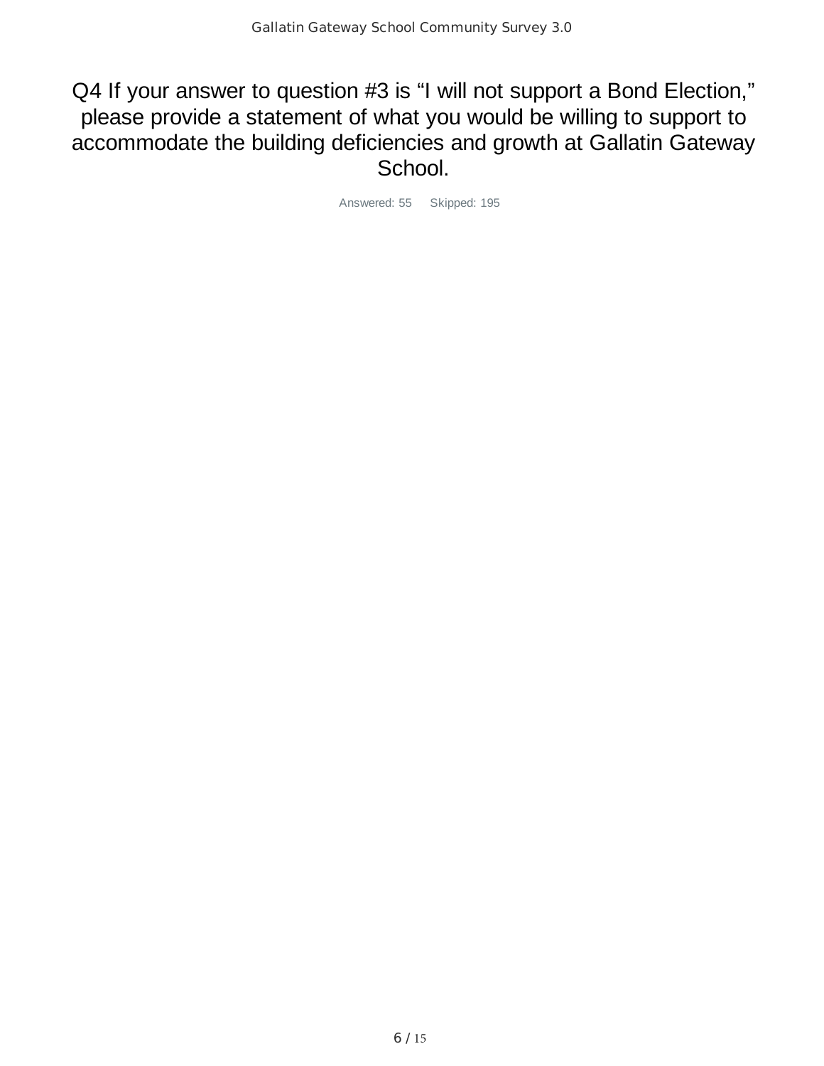## Q4 If your answer to question #3 is "I will not support a Bond Election," please provide a statement of what you would be willing to support to accommodate the building deficiencies and growth at Gallatin Gateway School.

Answered: 55 Skipped: 195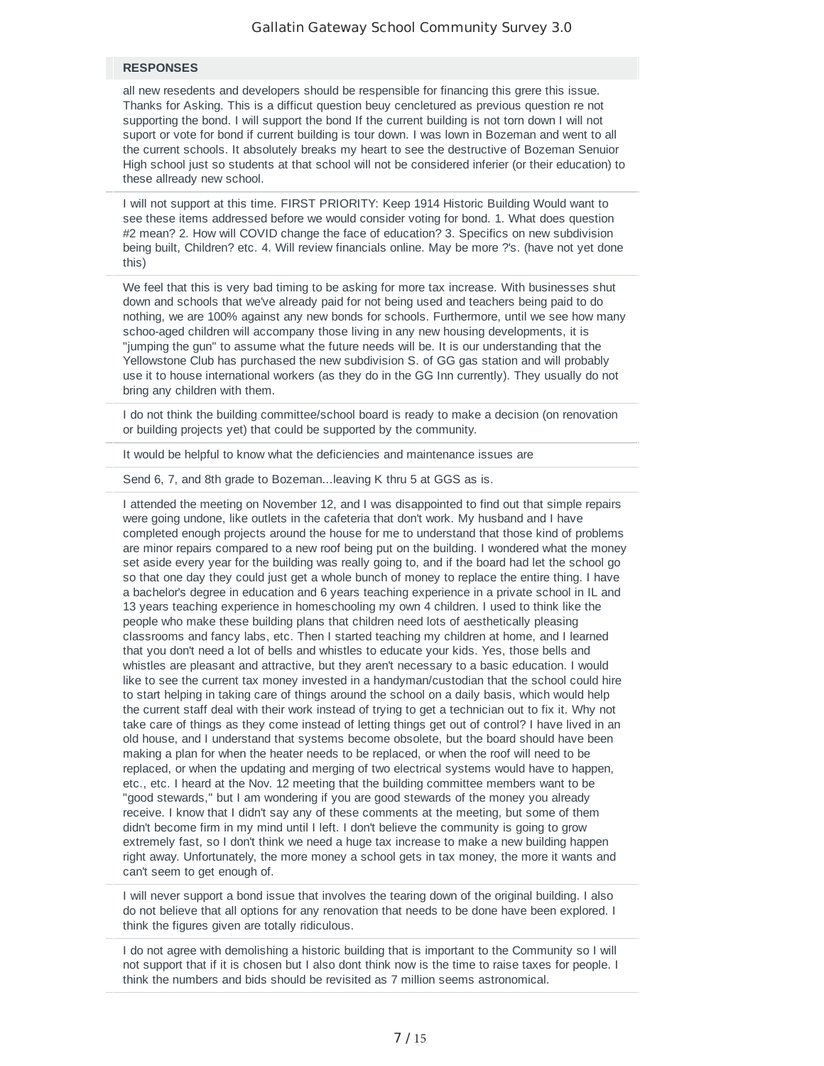#### $RESPONES$

all new resedents and developers should be respensible for financing this grere this issue. Thanks for Asking. This is a difficut question beuy cencletured as previous question re not supporting the bond. I will support the bond If the current building is not torn down I will not suport or vote for bond if current building is tour down. I was lown in Bozeman and went to all the current schools. It absolutely breaks my heart to see the destructive of Bozeman Senuior High school just so students at that school will not be considered inferier (or their education) to these allready new school.

2 I will not support at this time. FIRST PRIORITY: Keep 1914 Historic Building Would want to see these items addressed before we would consider voting for bond. 1. What does question #2 mean? 2. How will COVID change the face of education? 3. Specifics on new subdivision being built, Children? etc. 4. Will review financials online. May be more ?'s. (have not yet done this)

We feel that this is very bad timing to be asking for more tax increase. With businesses shut down and schools that we've already paid for not being used and teachers being paid to do nothing, we are 100% against any new bonds for schools. Furthermore, until we see how many schoo-aged children will accompany those living in any new housing developments, it is "jumping the gun" to assume what the future needs will be. It is our understanding that the Yellowstone Club has purchased the new subdivision S. of GG gas station and will probably use it to house international workers (as they do in the GG Inn currently). They usually do not bring any children with them.

4 I do not think the building committee/school board is ready to make a decision (on renovation or building projects yet) that could be supported by the community.

It would be helpful to know what the deficiencies and maintenance issues are

Send 6, 7, and 8th grade to Bozeman...leaving K thru 5 at GGS as is.

7 I attended the meeting on November 12, and I was disappointed to find out that simple repairs were going undone, like outlets in the cafeteria that don't work. My husband and I have completed enough projects around the house for me to understand that those kind of problems are minor repairs compared to a new roof being put on the building. I wondered what the money set aside every year for the building was really going to, and if the board had let the school go so that one day they could just get a whole bunch of money to replace the entire thing. I have a bachelor's degree in education and 6 years teaching experience in a private school in IL and 13 years teaching experience in homeschooling my own 4 children. I used to think like the people who make these building plans that children need lots of aesthetically pleasing classrooms and fancy labs, etc. Then I started teaching my children at home, and I learned that you don't need a lot of bells and whistles to educate your kids. Yes, those bells and whistles are pleasant and attractive, but they aren't necessary to a basic education. I would like to see the current tax money invested in a handyman/custodian that the school could hire to start helping in taking care of things around the school on a daily basis, which would help the current staff deal with their work instead of trying to get a technician out to fix it. Why not take care of things as they come instead of letting things get out of control? I have lived in an old house, and I understand that systems become obsolete, but the board should have been making a plan for when the heater needs to be replaced, or when the roof will need to be replaced, or when the updating and merging of two electrical systems would have to happen, etc., etc. I heard at the Nov. 12 meeting that the building committee members want to be "good stewards," but I am wondering if you are good stewards of the money you already receive. I know that I didn't say any of these comments at the meeting, but some of them didn't become firm in my mind until I left. I don't believe the community is going to grow extremely fast, so I don't think we need a huge tax increase to make a new building happen right away. Unfortunately, the more money a school gets in tax money, the more it wants and can't seem to get enough of.

I will never support a bond issue that involves the tearing down of the original building. I also do not believe that all options for any renovation that needs to be done have been explored. I think the figures given are totally ridiculous.

I do not agree with demolishing a historic building that is important to the Community so I will not support that if it is chosen but I also dont think now is the time to raise taxes for people. I think the numbers and bids should be revisited as 7 million seems astronomical.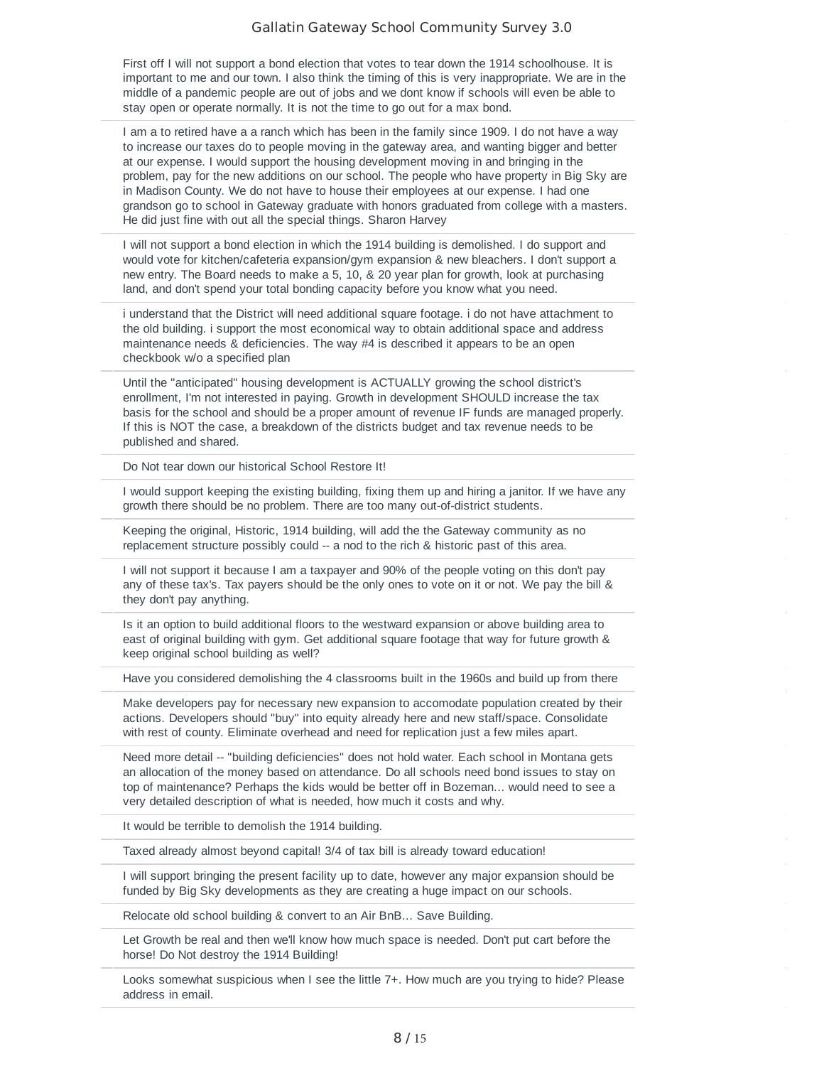First off I will not support a bond election that votes to tear down the 1914 schoolhouse. It is important to me and our town. I also think the timing of this is very inappropriate. We are in the middle of a pandemic people are out of jobs and we dont know if schools will even be able to stay open or operate normally. It is not the time to go out for a max bond.

1 am a to retired have a a ranch which has been in the family since 1909. I do not have a way to increase our taxes do to people moving in the gateway area, and wanting bigger and better at our expense. I would support the housing development moving in and bringing in the problem, pay for the new additions on our school. The people who have property in Big Sky are in Madison County. We do not have to house their employees at our expense. I had one grandson go to school in Gateway graduate with honors graduated from college with a masters. He did just fine with out all the special things. Sharon Harvey

12 I will not support a bond election in which the 1914 building is demolished. I do support and would vote for kitchen/cafeteria expansion/gym expansion & new bleachers. I don't support a new entry. The Board needs to make a 5, 10, & 20 year plan for growth, look at purchasing land, and don't spend your total bonding capacity before you know what you need.

i understand that the District will need additional square footage. i do not have attachment to the old building. i support the most economical way to obtain additional space and address maintenance needs & deficiencies. The way #4 is described it appears to be an open checkbook w/o a specified plan

Until the "anticipated" housing development is ACTUALLY growing the school district's enrollment, I'm not interested in paying. Growth in development SHOULD increase the tax basis for the school and should be a proper amount of revenue IF funds are managed properly. If this is NOT the case, a breakdown of the districts budget and tax revenue needs to be published and shared.

Do Not tear down our historical School Restore It!

I would support keeping the existing building, fixing them up and hiring a janitor. If we have any growth there should be no problem. There are too many out-of-district students.

Keeping the original, Historic, 1914 building, will add the the Gateway community as no replacement structure possibly could -- a nod to the rich & historic past of this area.

I will not support it because I am a taxpayer and 90% of the people voting on this don't pay any of these tax's. Tax payers should be the only ones to vote on it or not. We pay the bill & they don't pay anything.

19 Is it an option to build additional floors to the westward expansion or above building area to east of original building with gym. Get additional square footage that way for future growth & keep original school building as well?

Have you considered demolishing the 4 classrooms built in the 1960s and build up from there

Make developers pay for necessary new expansion to accomodate population created by their actions. Developers should "buy" into equity already here and new staff/space. Consolidate with rest of county. Eliminate overhead and need for replication just a few miles apart.

Need more detail -- "building deficiencies" does not hold water. Each school in Montana gets an allocation of the money based on attendance. Do all schools need bond issues to stay on top of maintenance? Perhaps the kids would be better off in Bozeman... would need to see a very detailed description of what is needed, how much it costs and why.

It would be terrible to demolish the 1914 building.

Taxed already almost beyond capital! 3/4 of tax bill is already toward education!

25 I will support bringing the present facility up to date, however any major expansion should be funded by Big Sky developments as they are creating a huge impact on our schools.

Relocate old school building & convert to an Air BnB... Save Building.

Let Growth be real and then we'll know how much space is needed. Don't put cart before the horse! Do Not destroy the 1914 Building!

Looks somewhat suspicious when I see the little 7+. How much are you trying to hide? Please address in email.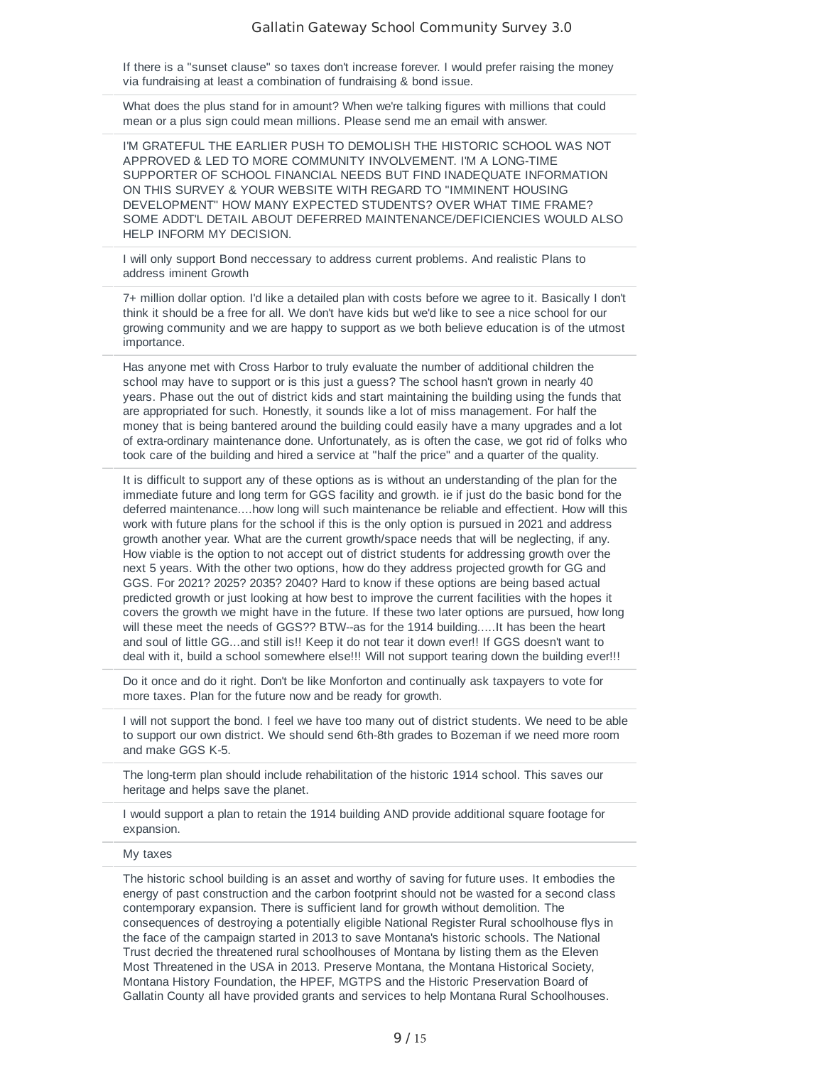If there is a "sunset clause" so taxes don't increase forever. I would prefer raising the money via fundraising at least a combination of fundraising & bond issue.

What does the plus stand for in amount? When we're talking figures with millions that could mean or a plus sign could mean millions. Please send me an email with answer.

I'M GRATEFUL THE EARLIER PUSH TO DEMOLISH THE HISTORIC SCHOOL WAS NOT APPROVED & LED TO MORE COMMUNITY INVOLVEMENT. I'M A LONG-TIME SUPPORTER OF SCHOOL FINANCIAL NEEDS BUT FIND INADEQUATE INFORMATION ON THIS SURVEY & YOUR WEBSITE WITH REGARD TO "IMMINENT HOUSING DEVELOPMENT" HOW MANY EXPECTED STUDENTS? OVER WHAT TIME FRAME? SOME ADDT'L DETAIL ABOUT DEFERRED MAINTENANCE/DEFICIENCIES WOULD ALSO HELP INFORM MY DECISION.

32 I will only support Bond neccessary to address current problems. And realistic Plans to address iminent Growth

33 7+ million dollar option. I'd like a detailed plan with costs before we agree to it. Basically I don't think it should be a free for all. We don't have kids but we'd like to see a nice school for our growing community and we are happy to support as we both believe education is of the utmost importance.

34 Has anyone met with Cross Harbor to truly evaluate the number of additional children the school may have to support or is this just a guess? The school hasn't grown in nearly 40 years. Phase out the out of district kids and start maintaining the building using the funds that are appropriated for such. Honestly, it sounds like a lot of miss management. For half the money that is being bantered around the building could easily have a many upgrades and a lot of extra-ordinary maintenance done. Unfortunately, as is often the case, we got rid of folks who took care of the building and hired a service at "half the price" and a quarter of the quality.

It is difficult to support any of these options as is without an understanding of the plan for the immediate future and long term for GGS facility and growth. ie if just do the basic bond for the deferred maintenance....how long will such maintenance be reliable and effectient. How will this work with future plans for the school if this is the only option is pursued in 2021 and address growth another year. What are the current growth/space needs that will be neglecting, if any. How viable is the option to not accept out of district students for addressing growth over the next 5 years. With the other two options, how do they address projected growth for GG and GGS. For 2021? 2025? 2035? 2040? Hard to know if these options are being based actual predicted growth or just looking at how best to improve the current facilities with the hopes it covers the growth we might have in the future. If these two later options are pursued, how long will these meet the needs of GGS?? BTW--as for the 1914 building.....It has been the heart and soul of little GG...and still is!! Keep it do not tear it down ever!! If GGS doesn't want to deal with it, build a school somewhere else!!! Will not support tearing down the building ever!!!

36 Do it once and do it right. Don't be like Monforton and continually ask taxpayers to vote for more taxes. Plan for the future now and be ready for growth.

I will not support the bond. I feel we have too many out of district students. We need to be able to support our own district. We should send 6th-8th grades to Bozeman if we need more room and make GGS K-5.

The long-term plan should include rehabilitation of the historic 1914 school. This saves our heritage and helps save the planet.

39 I would support a plan to retain the 1914 building AND provide additional square footage for expansion.

#### $My$  taxes  $1/12$

The historic school building is an asset and worthy of saving for future uses. It embodies the energy of past construction and the carbon footprint should not be wasted for a second class contemporary expansion. There is sufficient land for growth without demolition. The consequences of destroying a potentially eligible National Register Rural schoolhouse flys in the face of the campaign started in 2013 to save Montana's historic schools. The National Trust decried the threatened rural schoolhouses of Montana by listing them as the Eleven Most Threatened in the USA in 2013. Preserve Montana, the Montana Historical Society, Montana History Foundation, the HPEF, MGTPS and the Historic Preservation Board of Gallatin County all have provided grants and services to help Montana Rural Schoolhouses.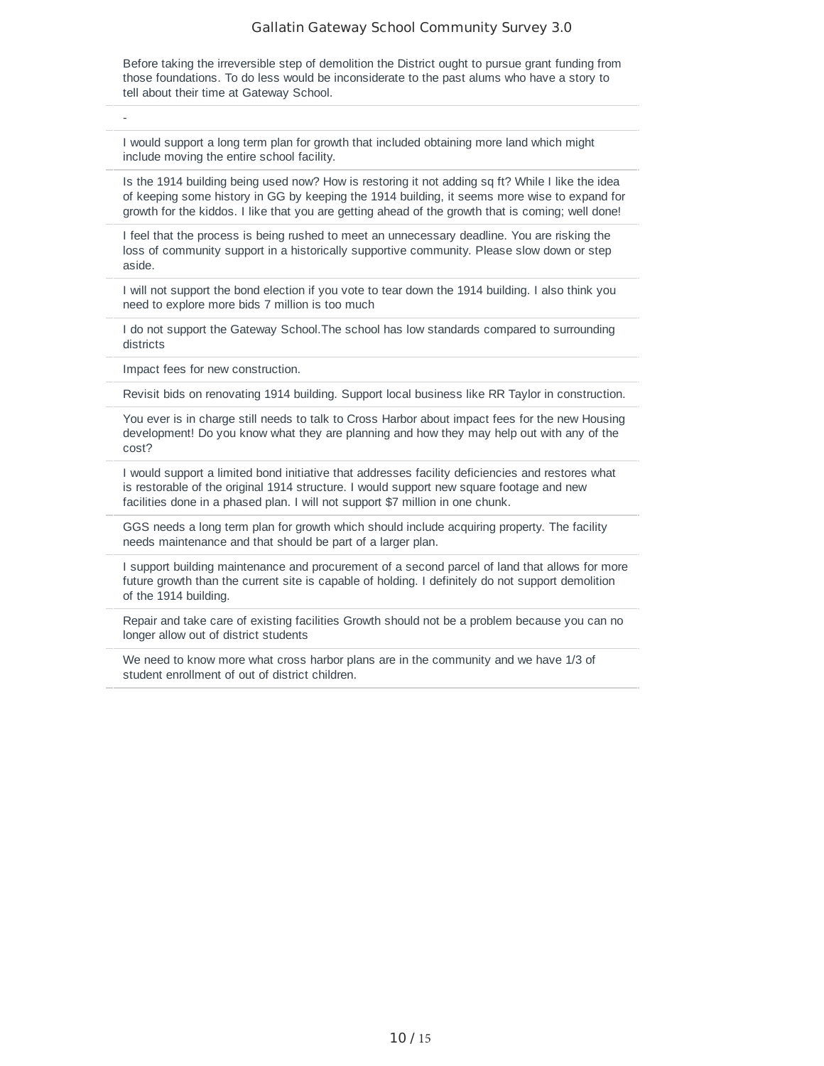Before taking the irreversible step of demolition the District ought to pursue grant funding from those foundations. To do less would be inconsiderate to the past alums who have a story to tell about their time at Gateway School.

 $\mathbf{1}_{\mathbf{1}_{\mathbf{1}}}$  - 11/11/2020 9:14  $\mathbf{1}_{\mathbf{1}_{\mathbf{1}}}$  - 11/11/2020 9:14  $\mathbf{1}_{\mathbf{1}_{\mathbf{1}}}$  - 11/11/2020 9:14  $\mathbf{1}_{\mathbf{1}_{\mathbf{1}}}$  - 11/11/2020 9:14  $\mathbf{1}_{\mathbf{1}_{\mathbf{1}}}$  - 11/11/2020 9:14  $\mathbf{1}_{\mathbf{1}_{\mathbf{1}}}\mathbf{1}_{\$ 

43 I would support a long term plan for growth that included obtaining more land which might include moving the entire school facility.

44 Is the 1914 building being used now? How is restoring it not adding sq ft? While I like the idea of keeping some history in GG by keeping the 1914 building, it seems more wise to expand for growth for the kiddos. I like that you are getting ahead of the growth that is coming; well done!

45 I feel that the process is being rushed to meet an unnecessary deadline. You are risking the loss of community support in a historically supportive community. Please slow down or step aside.

1 will not support the bond election if you vote to tear down the 1914 building. I also think you need to explore more bids 7 million is too much

47 I do not support the Gateway School.The school has low standards compared to surrounding districts

Impact fees for new construction.

Revisit bids on renovating 1914 building. Support local business like RR Taylor in construction.

50 You ever is in charge still needs to talk to Cross Harbor about impact fees for the new Housing development! Do you know what they are planning and how they may help out with any of the cost?

I would support a limited bond initiative that addresses facility deficiencies and restores what is restorable of the original 1914 structure. I would support new square footage and new facilities done in a phased plan. I will not support \$7 million in one chunk.

GGS needs a long term plan for growth which should include acquiring property. The facility needs maintenance and that should be part of a larger plan.

53 I support building maintenance and procurement of a second parcel of land that allows for more future growth than the current site is capable of holding. I definitely do not support demolition of the 1914 building.

Repair and take care of existing facilities Growth should not be a problem because you can no longer allow out of district students

We need to know more what cross harbor plans are in the community and we have 1/3 of student enrollment of out of district children.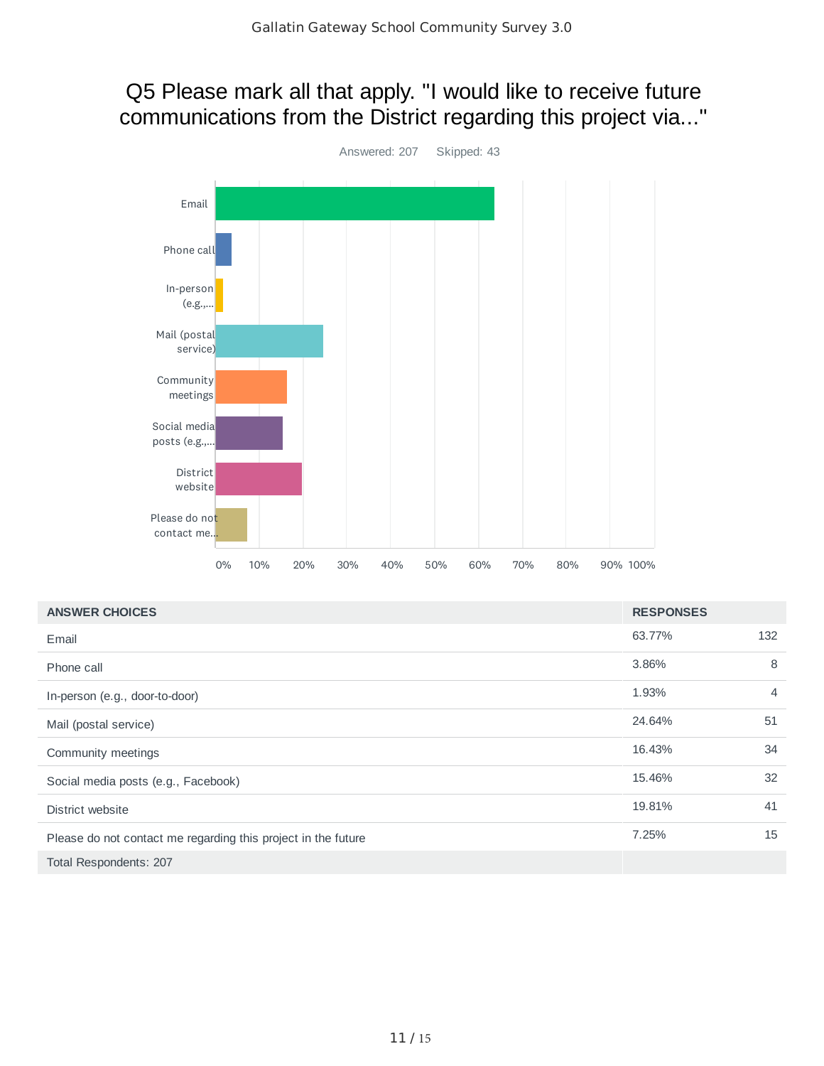## Q5 Please mark all that apply. "I would like to receive future communications from the District regarding this project via..."



| <b>ANSWER CHOICES</b>                                         | <b>RESPONSES</b> |                |
|---------------------------------------------------------------|------------------|----------------|
| Email                                                         | 63.77%           | 132            |
| Phone call                                                    | 3.86%            | 8              |
| In-person (e.g., door-to-door)                                | 1.93%            | $\overline{4}$ |
| Mail (postal service)                                         | 24.64%           | 51             |
| Community meetings                                            | 16.43%           | 34             |
| Social media posts (e.g., Facebook)                           | 15.46%           | 32             |
| District website                                              | 19.81%           | 41             |
| Please do not contact me regarding this project in the future | 7.25%            | 15             |
| Total Respondents: 207                                        |                  |                |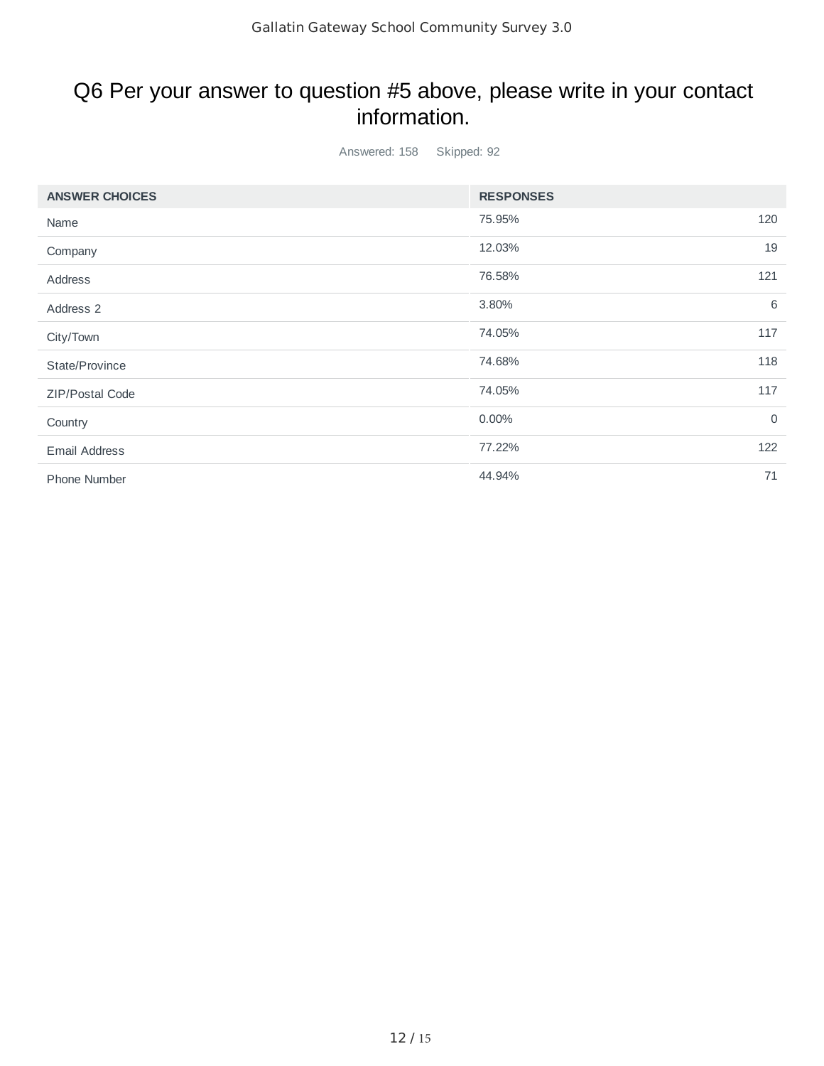## Q6 Per your answer to question #5 above, please write in your contact information.

Answered: 158 Skipped: 92

| <b>ANSWER CHOICES</b> | <b>RESPONSES</b> |             |
|-----------------------|------------------|-------------|
| Name                  | 75.95%           | 120         |
| Company               | 12.03%           | 19          |
| Address               | 76.58%           | 121         |
| Address 2             | 3.80%            | 6           |
| City/Town             | 74.05%           | 117         |
| State/Province        | 74.68%           | 118         |
| ZIP/Postal Code       | 74.05%           | 117         |
| Country               | 0.00%            | $\mathbf 0$ |
| <b>Email Address</b>  | 77.22%           | 122         |
| Phone Number          | 44.94%           | 71          |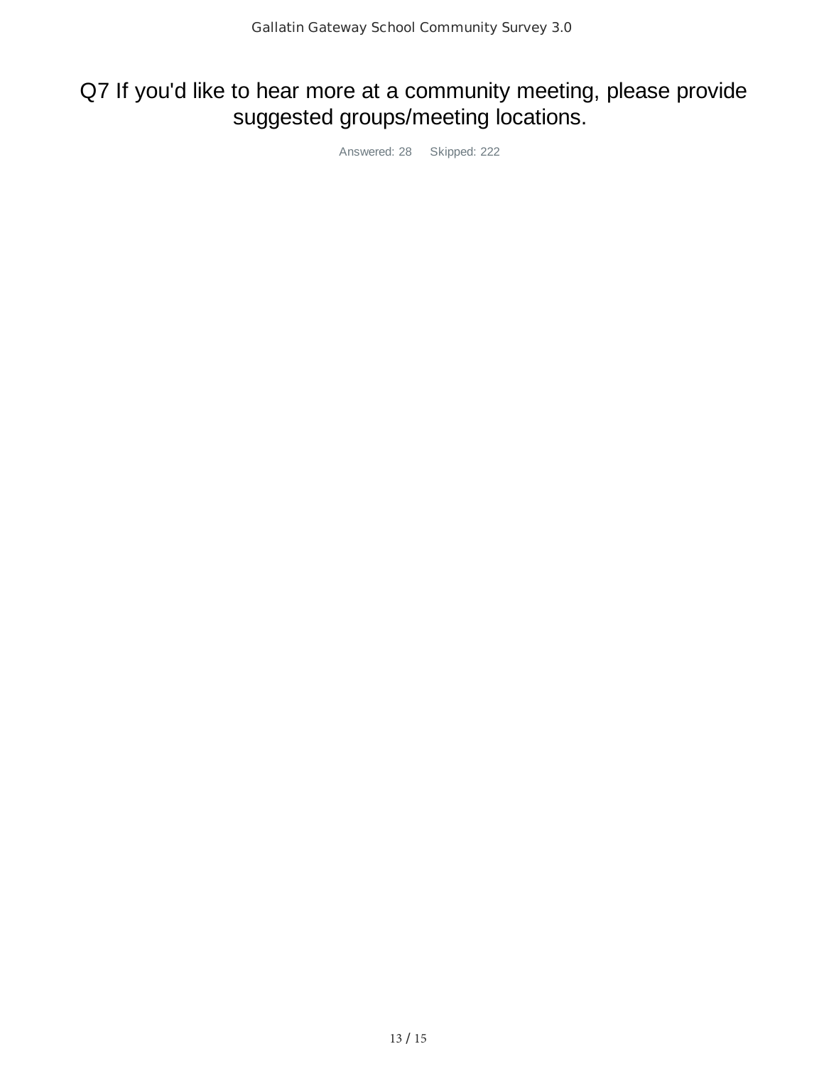# Q7 If you'd like to hear more at a community meeting, please provide suggested groups/meeting locations.

Answered: 28 Skipped: 222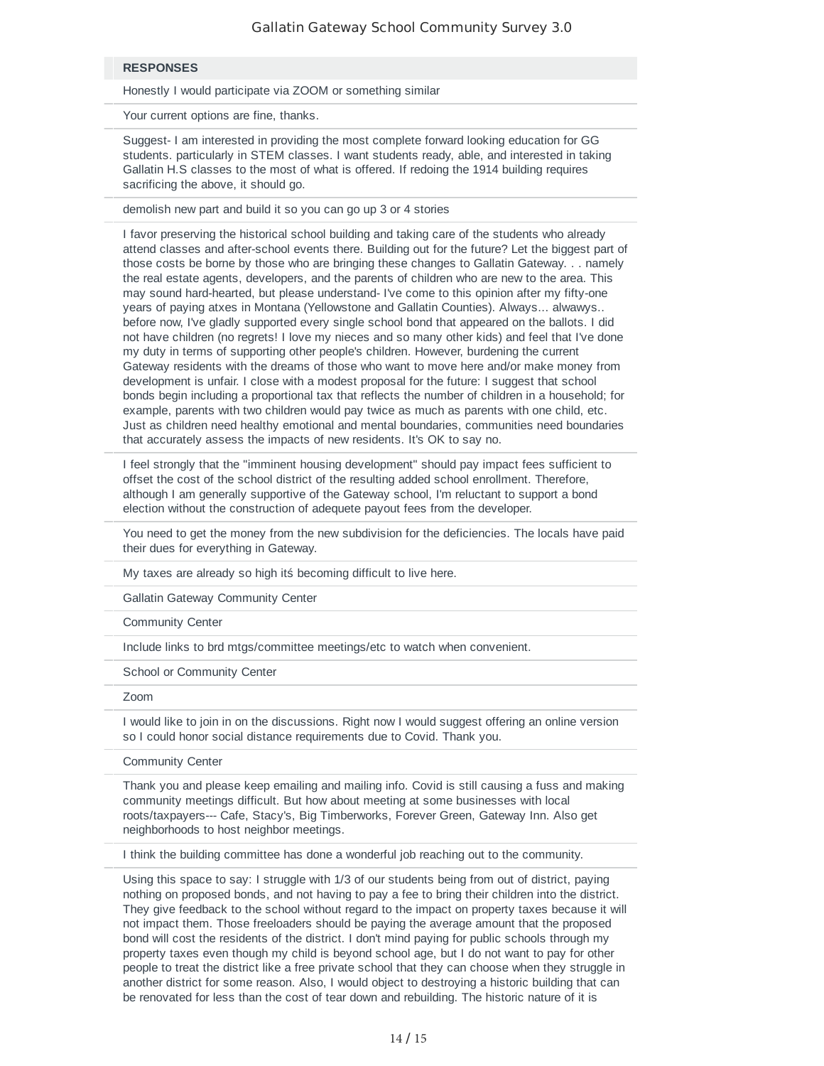#### $RESPONES$

Honestly I would participate via ZOOM or something similar

Your current options are fine, thanks.

3 Suggest- I am interested in providing the most complete forward looking education for GG students. particularly in STEM classes. I want students ready, able, and interested in taking Gallatin H.S classes to the most of what is offered. If redoing the 1914 building requires sacrificing the above, it should go.

demolish new part and build it so you can go up 3 or 4 stories

5 I favor preserving the historical school building and taking care of the students who already attend classes and after-school events there. Building out for the future? Let the biggest part of those costs be borne by those who are bringing these changes to Gallatin Gateway. . . namely the real estate agents, developers, and the parents of children who are new to the area. This may sound hard-hearted, but please understand- I've come to this opinion after my fifty-one years of paying atxes in Montana (Yellowstone and Gallatin Counties). Always... alwawys.. before now, I've gladly supported every single school bond that appeared on the ballots. I did not have children (no regrets! I love my nieces and so many other kids) and feel that I've done my duty in terms of supporting other people's children. However, burdening the current Gateway residents with the dreams of those who want to move here and/or make money from development is unfair. I close with a modest proposal for the future: I suggest that school bonds begin including a proportional tax that reflects the number of children in a household; for example, parents with two children would pay twice as much as parents with one child, etc. Just as children need healthy emotional and mental boundaries, communities need boundaries that accurately assess the impacts of new residents. It's OK to say no.

6 I feel strongly that the "imminent housing development" should pay impact fees sufficient to offset the cost of the school district of the resulting added school enrollment. Therefore, although I am generally supportive of the Gateway school, I'm reluctant to support a bond election without the construction of adequete payout fees from the developer.

7 You need to get the money from the new subdivision for the deficiencies. The locals have paid their dues for everything in Gateway.

My taxes are already so high its becoming difficult to live here.

Gallatin Gateway Community Center

Community Center

Include links to brd mtgs/committee meetings/etc to watch when convenient.

School or Community Center

 $12$ oom 11/2020 12:15 PM 11/2020 12:15 PM 11/2020 12:15 PM 12:15 PM 12:15 PM 12:15 PM 12:15 PM 12:15 PM 12:15 PM 12:15 PM 12:15 PM 12:15 PM 12:15 PM 12:15 PM 12:15 PM 12:15 PM 12:15 PM 12:15 PM 12:15 PM 12:15 PM 12:15 PM 1

I would like to join in on the discussions. Right now I would suggest offering an online version so I could honor social distance requirements due to Covid. Thank you.

Community Center

16 Thank you and please keep emailing and mailing info. Covid is still causing a fuss and making community meetings difficult. But how about meeting at some businesses with local roots/taxpayers--- Cafe, Stacy's, Big Timberworks, Forever Green, Gateway Inn. Also get neighborhoods to host neighbor meetings.

1 think the building committee has done a wonderful job reaching out to the community.

Using this space to say: I struggle with 1/3 of our students being from out of district, paying nothing on proposed bonds, and not having to pay a fee to bring their children into the district. They give feedback to the school without regard to the impact on property taxes because it will not impact them. Those freeloaders should be paying the average amount that the proposed bond will cost the residents of the district. I don't mind paying for public schools through my property taxes even though my child is beyond school age, but I do not want to pay for other people to treat the district like a free private school that they can choose when they struggle in another district for some reason. Also, I would object to destroying a historic building that can be renovated for less than the cost of tear down and rebuilding. The historic nature of it is